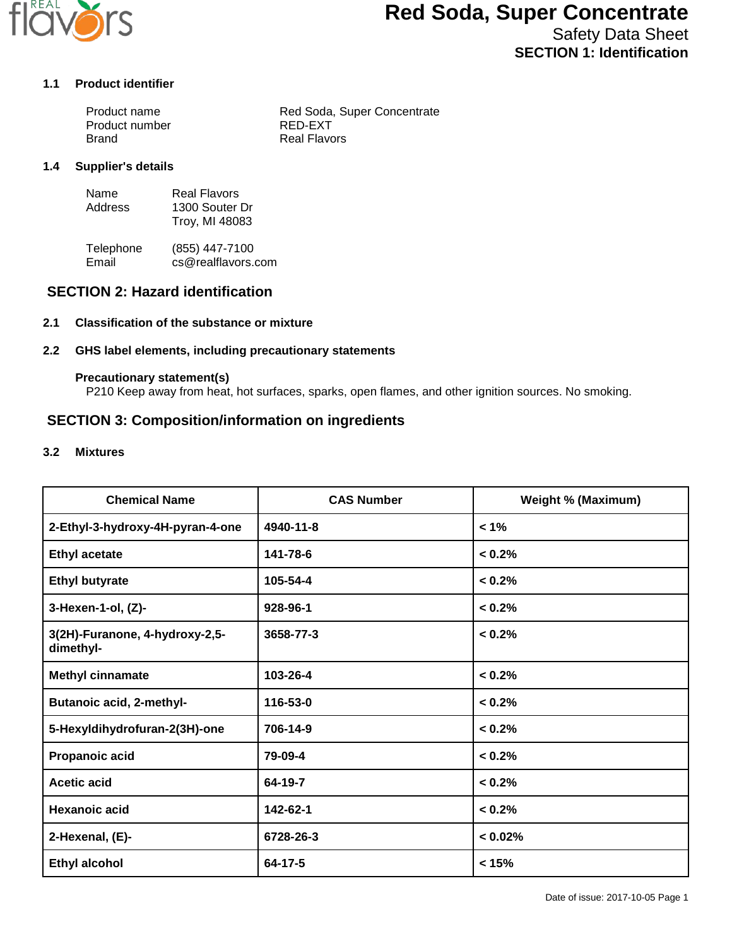

# **Red Soda, Super Concentrate**

Safety Data Sheet **SECTION 1: Identification**

#### **1.1 Product identifier**

| Product name   | Red Soda, Super Concentrate |
|----------------|-----------------------------|
| Product number | RED-EXT                     |
| Brand          | <b>Real Flavors</b>         |

#### **1.4 Supplier's details**

| Name    | <b>Real Flavors</b> |
|---------|---------------------|
| Address | 1300 Souter Dr      |
|         | Troy, MI 48083      |

Telephone (855) 447-7100<br>Email cs@realflavors. cs@realflavors.com

## **SECTION 2: Hazard identification**

#### **2.1 Classification of the substance or mixture**

#### **2.2 GHS label elements, including precautionary statements**

#### **Precautionary statement(s)**

P210 Keep away from heat, hot surfaces, sparks, open flames, and other ignition sources. No smoking.

### **SECTION 3: Composition/information on ingredients**

#### **3.2 Mixtures**

| <b>Chemical Name</b>                        | <b>CAS Number</b> | <b>Weight % (Maximum)</b> |
|---------------------------------------------|-------------------|---------------------------|
| 2-Ethyl-3-hydroxy-4H-pyran-4-one            | 4940-11-8         | $< 1\%$                   |
| <b>Ethyl acetate</b>                        | 141-78-6          | < 0.2%                    |
| <b>Ethyl butyrate</b>                       | 105-54-4          | < 0.2%                    |
| 3-Hexen-1-ol, (Z)-                          | 928-96-1          | < 0.2%                    |
| 3(2H)-Furanone, 4-hydroxy-2,5-<br>dimethyl- | 3658-77-3         | < 0.2%                    |
| <b>Methyl cinnamate</b>                     | 103-26-4          | < 0.2%                    |
| <b>Butanoic acid, 2-methyl-</b>             | 116-53-0          | < 0.2%                    |
| 5-Hexyldihydrofuran-2(3H)-one               | 706-14-9          | < 0.2%                    |
| Propanoic acid                              | 79-09-4           | < 0.2%                    |
| <b>Acetic acid</b>                          | 64-19-7           | < 0.2%                    |
| <b>Hexanoic acid</b>                        | 142-62-1          | < 0.2%                    |
| 2-Hexenal, (E)-                             | 6728-26-3         | < 0.02%                   |
| <b>Ethyl alcohol</b>                        | 64-17-5           | < 15%                     |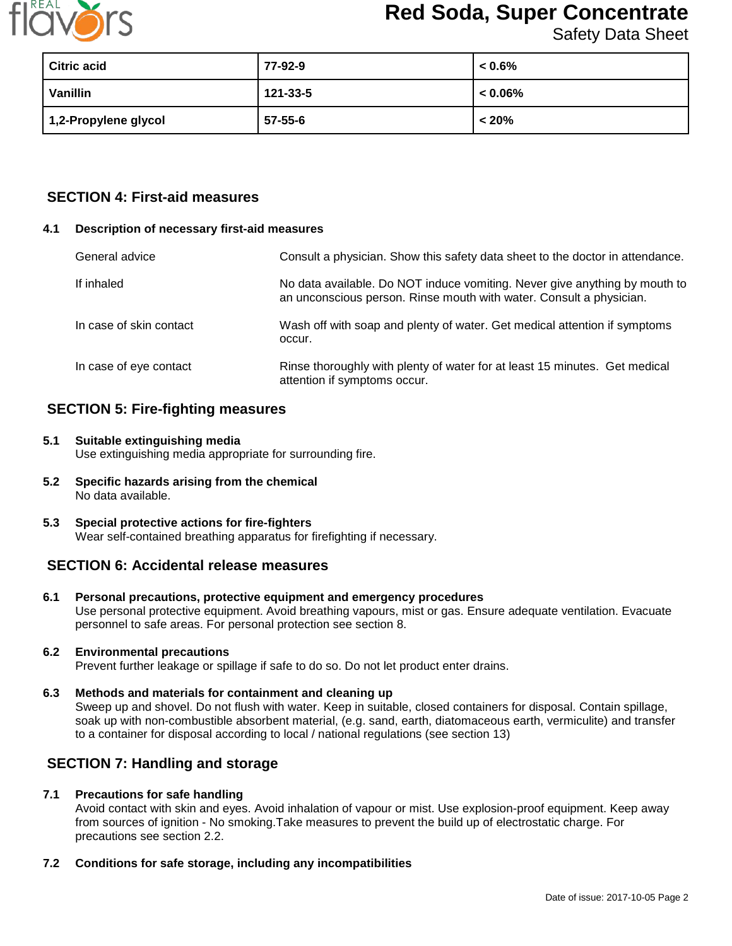

# **Red Soda, Super Concentrate**

Safety Data Sheet

| Citric acid          | 77-92-9  | $< 0.6\%$  |
|----------------------|----------|------------|
| Vanillin             | 121-33-5 | $< 0.06\%$ |
| 1,2-Propylene glycol | 57-55-6  | $< 20\%$   |

## **SECTION 4: First-aid measures**

#### **4.1 Description of necessary first-aid measures**

| General advice          | Consult a physician. Show this safety data sheet to the doctor in attendance.                                                                     |
|-------------------------|---------------------------------------------------------------------------------------------------------------------------------------------------|
| If inhaled              | No data available. Do NOT induce vomiting. Never give anything by mouth to<br>an unconscious person. Rinse mouth with water. Consult a physician. |
| In case of skin contact | Wash off with soap and plenty of water. Get medical attention if symptoms<br>occur.                                                               |
| In case of eye contact  | Rinse thoroughly with plenty of water for at least 15 minutes. Get medical<br>attention if symptoms occur.                                        |

## **SECTION 5: Fire-fighting measures**

- **5.1 Suitable extinguishing media** Use extinguishing media appropriate for surrounding fire.
- **5.2 Specific hazards arising from the chemical** No data available.
- **5.3 Special protective actions for fire-fighters** Wear self-contained breathing apparatus for firefighting if necessary.

## **SECTION 6: Accidental release measures**

**6.1 Personal precautions, protective equipment and emergency procedures** Use personal protective equipment. Avoid breathing vapours, mist or gas. Ensure adequate ventilation. Evacuate personnel to safe areas. For personal protection see section 8.

## **6.2 Environmental precautions**

Prevent further leakage or spillage if safe to do so. Do not let product enter drains.

**6.3 Methods and materials for containment and cleaning up** Sweep up and shovel. Do not flush with water. Keep in suitable, closed containers for disposal. Contain spillage, soak up with non-combustible absorbent material, (e.g. sand, earth, diatomaceous earth, vermiculite) and transfer to a container for disposal according to local / national regulations (see section 13)

## **SECTION 7: Handling and storage**

#### **7.1 Precautions for safe handling**

Avoid contact with skin and eyes. Avoid inhalation of vapour or mist. Use explosion-proof equipment. Keep away from sources of ignition - No smoking.Take measures to prevent the build up of electrostatic charge. For precautions see section 2.2.

#### **7.2 Conditions for safe storage, including any incompatibilities**